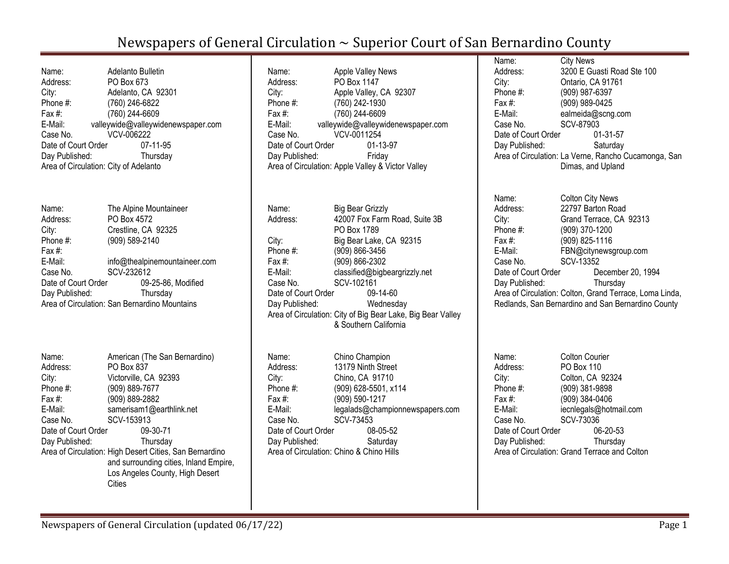| Name:<br>Address:<br>City:<br>Phone #:<br>Fax $#$ :<br>E-Mail:<br>Case No.<br>Date of Court Order<br>Day Published:<br>Area of Circulation: City of Adelanto | Adelanto Bulletin<br>PO Box 673<br>Adelanto, CA 92301<br>(760) 246-6822<br>(760) 244-6609<br>valleywide@valleywidenewspaper.com<br>VCV-006222<br>07-11-95<br>Thursday |
|--------------------------------------------------------------------------------------------------------------------------------------------------------------|-----------------------------------------------------------------------------------------------------------------------------------------------------------------------|
| Name:                                                                                                                                                        | The Alpine Mountaineer                                                                                                                                                |
| Address:                                                                                                                                                     | PO Box 4572                                                                                                                                                           |
| City:                                                                                                                                                        | Crestline, CA 92325                                                                                                                                                   |
| Phone #:                                                                                                                                                     | (909) 589-2140                                                                                                                                                        |
| Fax #:                                                                                                                                                       |                                                                                                                                                                       |
| E-Mail:                                                                                                                                                      | info@thealpinemountaineer.com                                                                                                                                         |
| Case No.                                                                                                                                                     | SCV-232612                                                                                                                                                            |
| Date of Court Order                                                                                                                                          | 09-25-86, Modified                                                                                                                                                    |
| Day Published:                                                                                                                                               | Thursday<br>Area of Circulation: San Bernardino Mountains                                                                                                             |
|                                                                                                                                                              |                                                                                                                                                                       |
| Name:<br>Address:                                                                                                                                            | American (The San Bernardino)<br>PO Box 837                                                                                                                           |
| City:                                                                                                                                                        | Victorville, CA 92393                                                                                                                                                 |
| Phone #:                                                                                                                                                     | (909) 889-7677                                                                                                                                                        |
| Fax #:                                                                                                                                                       | (909) 889-2882                                                                                                                                                        |
| E-Mail:                                                                                                                                                      | samerisam1@earthlink.net                                                                                                                                              |
| Case No.                                                                                                                                                     | SCV-153913                                                                                                                                                            |
| Date of Court Order                                                                                                                                          | 09-30-71                                                                                                                                                              |
| Day Published:                                                                                                                                               | Thursday                                                                                                                                                              |
|                                                                                                                                                              | Area of Circulation: High Desert Cities, San Bernardino<br>and surrounding cities, Inland Empire,                                                                     |
|                                                                                                                                                              | Los Angeles County, High Desert                                                                                                                                       |
|                                                                                                                                                              | Cities                                                                                                                                                                |

| Name:<br>Address:<br>City: | <b>Apple Valley News</b><br>PO Box 1147<br>Apple Valley, CA 92307 |
|----------------------------|-------------------------------------------------------------------|
| Phone $#$ :                | (760) 242-1930                                                    |
| Fax #:                     | (760) 244-6609                                                    |
| E-Mail:                    | valleywide@valleywidenewspaper.com                                |
| Case No.                   | VCV-0011254                                                       |
| Date of Court Order        | 01-13-97                                                          |
| Day Published:             | Friday                                                            |
|                            | Area of Circulation: Apple Valley & Victor Valley                 |
|                            |                                                                   |
| Name:                      | Big Bear Grizzly                                                  |
| Address:                   | 42007 Fox Farm Road. Suite 3B<br>PO Box 1789                      |

PO Box 1789 City: Big Bear Lake, CA 92315 Phone #: (909) 866-3456 Fax #: (909) 866-2302 E-Mail: classified@bigbeargrizzly.net Case No. SCV-102161<br>Date of Court Order 09-14-60 Date of Court Order Day Published: Wednesday Area of Circulation: City of Big Bear Lake, Big Bear Valley & Southern California

| Name:               | Chino Champion                           |
|---------------------|------------------------------------------|
| Address:            | 13179 Ninth Street                       |
| City:               | Chino, CA 91710                          |
| Phone #:            | (909) 628-5501, x114                     |
| Fax #:              | (909) 590-1217                           |
| E-Mail:             | legalads@championnewspapers.com          |
| Case No.            | SCV-73453                                |
| Date of Court Order | 08-05-52                                 |
| Day Published:      | Saturday                                 |
|                     | Area of Circulation: Chino & Chino Hills |
|                     |                                          |

Name: City News Address: 3200 E Guasti Road Ste 100 City: Ontario, CA 91761 Phone #: (909) 987-6397 Fax #: (909) 989-0425 E-Mail: ealmeida@scng.com Case No. SCV-87903 Date of Court Order 01-31-57 Day Published: Saturday Area of Circulation: La Verne, Rancho Cucamonga, San Dimas, and Upland

| Name:               | <b>Colton City News</b>                                 |
|---------------------|---------------------------------------------------------|
| Address:            | 22797 Barton Road                                       |
| City:               | Grand Terrace, CA 92313                                 |
| Phone #:            | (909) 370-1200                                          |
| Fax $#$ :           | (909) 825-1116                                          |
| E-Mail:             | FBN@citynewsgroup.com                                   |
| Case No.            | SCV-13352                                               |
| Date of Court Order | December 20, 1994                                       |
| Day Published:      | Thursday                                                |
|                     | Area of Circulation: Colton, Grand Terrace, Loma Linda, |
|                     | Redlands, San Bernardino and San Bernardino County      |

| Name:               | <b>Colton Courier</b>                         |
|---------------------|-----------------------------------------------|
| Address:            | PO Box 110                                    |
|                     | Colton, CA 92324                              |
| City:               |                                               |
| Phone #:            | (909) 381-9898                                |
| Fax #:              | (909) 384-0406                                |
| E-Mail:             | iecnlegals@hotmail.com                        |
| Case No.            | SCV-73036                                     |
| Date of Court Order | 06-20-53                                      |
| Day Published:      | Thursday                                      |
|                     | Area of Circulation: Grand Terrace and Colton |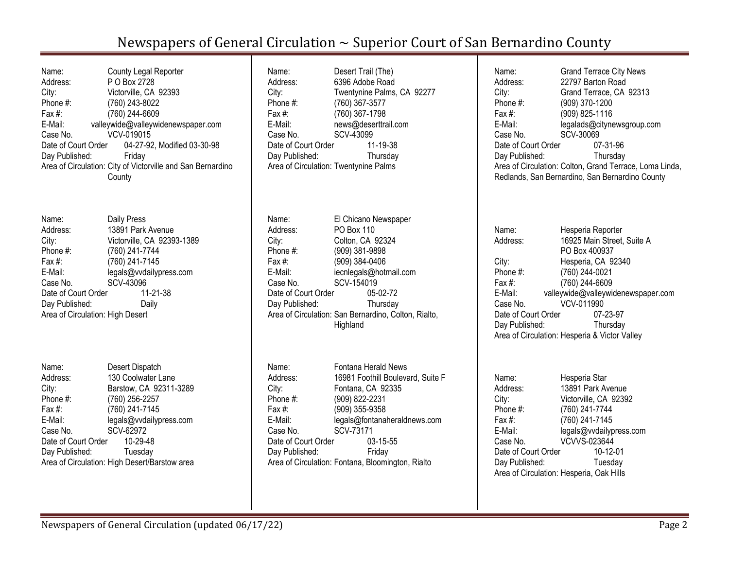| Name:                                                       | County Legal Reporter                           |  |
|-------------------------------------------------------------|-------------------------------------------------|--|
| Address:                                                    | P O Box 2728                                    |  |
| City:                                                       | Victorville, CA 92393                           |  |
| Phone #:                                                    | (760) 243-8022                                  |  |
| Fax #:                                                      | (760) 244-6609                                  |  |
| E-Mail:                                                     | valleywide@valleywidenewspaper.com              |  |
| Case No.                                                    | VCV-019015                                      |  |
|                                                             | Date of Court Order 04-27-92, Modified 03-30-98 |  |
| Day Published:                                              | Friday                                          |  |
| Area of Circulation: City of Victorville and San Bernardino |                                                 |  |
|                                                             | County                                          |  |

| Name:                            | Daily Press                |
|----------------------------------|----------------------------|
| Address:                         | 13891 Park Avenue          |
| City:                            | Victorville, CA 92393-1389 |
| Phone #:                         | (760) 241-7744             |
| Fax #:                           | (760) 241-7145             |
| E-Mail:                          | legals@vvdailypress.com    |
| Case No.                         | SCV-43096                  |
| Date of Court Order              | 11-21-38                   |
| Day Published:                   | Daily                      |
| Area of Circulation: High Desert |                            |

| Name:               | Desert Dispatch                               |
|---------------------|-----------------------------------------------|
| Address:            | 130 Coolwater Lane                            |
| City:               | Barstow, CA 92311-3289                        |
| Phone #:            | (760) 256-2257                                |
| Fax $#$ :           | (760) 241-7145                                |
| E-Mail:             | legals@vvdailypress.com                       |
| Case No.            | SCV-62972                                     |
| Date of Court Order | 10-29-48                                      |
| Day Published:      | Tuesday                                       |
|                     | Area of Circulation: High Desert/Barstow area |

| Name:                                 | Desert Trail (The)         |
|---------------------------------------|----------------------------|
| Address:                              | 6396 Adobe Road            |
|                                       |                            |
| City:                                 | Twentynine Palms, CA 92277 |
| Phone #:                              | (760) 367-3577             |
| Fax $#$ :                             | (760) 367-1798             |
| E-Mail:                               | news@deserttrail.com       |
| Case No.                              | SCV-43099                  |
| Date of Court Order                   | 11-19-38                   |
| Day Published:                        | Thursday                   |
| Area of Circulation: Twentynine Palms |                            |
|                                       |                            |

| El Chicano Newspaper                                 |
|------------------------------------------------------|
| PO Box 110                                           |
| Colton, CA 92324                                     |
| (909) 381-9898                                       |
| (909) 384-0406                                       |
| iecnlegals@hotmail.com                               |
| SCV-154019                                           |
| Date of Court Order<br>05-02-72                      |
| Thursday                                             |
| Area of Circulation: San Bernardino, Colton, Rialto, |
| Highland                                             |
|                                                      |

| Name:               | Fontana Herald News                               |
|---------------------|---------------------------------------------------|
| Address:            | 16981 Foothill Boulevard, Suite F                 |
| City:               | Fontana, CA 92335                                 |
| Phone #:            | (909) 822-2231                                    |
| Fax $#$ :           | (909) 355-9358                                    |
| E-Mail:             | legals@fontanaheraldnews.com                      |
| Case No.            | SCV-73171                                         |
| Date of Court Order | $03 - 15 - 55$                                    |
| Day Published:      | Friday                                            |
|                     | Area of Circulation: Fontana, Bloomington, Rialto |

| Name:<br>Address:<br>City:<br>Phone #:<br>Fax #:<br>E-Mail:<br>Case No.<br>Date of Court Order<br>Day Published:                             | <b>Grand Terrace City News</b><br>22797 Barton Road<br>Grand Terrace, CA 92313<br>(909) 370-1200<br>(909) 825-1116<br>legalads@citynewsgroup.com<br>SCV-30069<br>07-31-96<br>Thursday<br>Area of Circulation: Colton, Grand Terrace, Loma Linda,<br>Redlands, San Bernardino, San Bernardino County |
|----------------------------------------------------------------------------------------------------------------------------------------------|-----------------------------------------------------------------------------------------------------------------------------------------------------------------------------------------------------------------------------------------------------------------------------------------------------|
| Name:<br>Address:<br>City:<br>Phone #:<br>Fax #:<br>E-Mail: E-Mail: Painting of the Sea<br>Case No.<br>Date of Court Order<br>Day Published: | Hesperia Reporter<br>16925 Main Street, Suite A<br>PO Box 400937<br>Hesperia, CA 92340<br>(760) 244-0021<br>(760) 244-6609<br>valleywide@valleywidenewspaper.com<br>VCV-011990<br>07-23-97<br>Thursday<br>Area of Circulation: Hesperia & Victor Valley                                             |
| Name:<br>Address:<br>City:<br>Phone #:                                                                                                       | Hesperia Star<br>13891 Park Avenue<br>Victorville, CA 92392<br>(760) 241-7744                                                                                                                                                                                                                       |

Fax #: (760) 241-7145<br>E-Mail: legals@vvdailyp

Case No. VCVVS-023644 Date of Court Order 10-12-01<br>Day Published: Tuesday

Area of Circulation: Hesperia, Oak Hills

Day Published:

E-Mail: legals@vvdailypress.com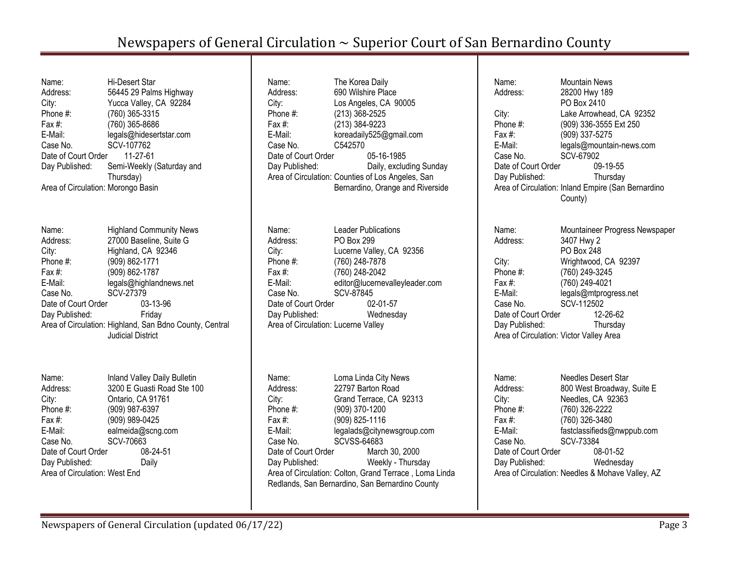Name: Hi-Desert Star Address: 56445 29 Palms Highway City: Yucca Valley, CA 92284 Phone #: (760) 365-3315 Fax #: (760) 365-8686 E-Mail: legals@hidesertstar.com Case No. SCV-107762 Date of Court Order 11-27-61 Day Published: Semi-Weekly (Saturday and Thursday) Area of Circulation: Morongo Basin Name: Highland Community News Address: 27000 Baseline, Suite G City: Highland, CA 92346 Phone #: (909) 862-1771 Fax #: (909) 862-1787 E-Mail: legals@highlandnews.net Case No. SCV-27379 Date of Court Order 03-13-96 Day Published: Friday Area of Circulation: Highland, San Bdno County, Central Judicial District Name: Inland Valley Daily Bulletin Address: 3200 E Guasti Road Ste 100 City: Ontario, CA 91761 Phone #: (909) 987-6397 Fax #: (909) 989-0425 E-Mail: ealmeida@scng.com Case No. SCV-70663

Date of Court Order 08-24-51 Day Published: Daily Area of Circulation: West End

| Name:<br>Address:<br>City:<br>Phone #:<br>Fax #:<br>E-Mail:<br>Case No.<br>Date of Court Order<br>Day Published:                                        | The Korea Daily<br>690 Wilshire Place<br>Los Angeles, CA 90005<br>(213) 368-2525<br>(213) 384-9223<br>koreadaily525@gmail.com<br>C542570<br>05-16-1985<br>Daily, excluding Sunday<br>Area of Circulation: Counties of Los Angeles, San<br>Bernardino, Orange and Riverside                                       |
|---------------------------------------------------------------------------------------------------------------------------------------------------------|------------------------------------------------------------------------------------------------------------------------------------------------------------------------------------------------------------------------------------------------------------------------------------------------------------------|
| Name:<br>Address:<br>City:<br>Phone #:<br>Fax #:<br>E-Mail:<br>Case No.<br>Date of Court Order<br>Day Published:<br>Area of Circulation: Lucerne Valley | Leader Publications<br><b>PO Box 299</b><br>Lucerne Valley, CA 92356<br>(760) 248-7878<br>(760) 248-2042<br>editor@lucernevalleyleader.com<br>SCV-87845<br>02-01-57<br>Wednesday                                                                                                                                 |
| Name:<br>Address:<br>City:<br>Phone #:<br>Fax #:<br>E-Mail:<br>Case No.<br>Date of Court Order<br>Day Published:                                        | Loma Linda City News<br>22797 Barton Road<br>Grand Terrace, CA 92313<br>(909) 370-1200<br>(909) 825-1116<br>legalads@citynewsgroup.com<br><b>SCVSS-64683</b><br>March 30, 2000<br>Weekly - Thursday<br>Area of Circulation: Colton, Grand Terrace, Loma Linda<br>Redlands, San Bernardino, San Bernardino County |

Name: Mountain News Address: 28200 Hwy 189 PO Box 2410 City: Lake Arrowhead, CA 92352 Phone #: (909) 336-3555 Ext 250 Fax #: (909) 337-5275 E-Mail: legals@mountain-news.com Case No. SCV-67902 Date of Court Order 09-19-55 Day Published: Thursday Area of Circulation: Inland Empire (San Bernardino County) Name: Mountaineer Progress Newspaper Address: 3407 Hwy 2 PO Box 248 City: Wrightwood, CA 92397 Phone #: (760) 249-3245 Fax #: (760) 249-4021 E-Mail: legals@mtprogress.net Case No. SCV-112502 Date of Court Order 12-26-62 Day Published: Thursday Area of Circulation: Victor Valley Area Name: Needles Desert Star Address: 800 West Broadway, Suite E City: Needles, CA 92363 Phone #: (760) 326-2222 Fax #: (760) 326-3480 E-Mail: fastclassifieds@nwppub.com

Case No. SCV-73384 Date of Court Order 08-01-52 Day Published: Wednesday Area of Circulation: Needles & Mohave Valley, AZ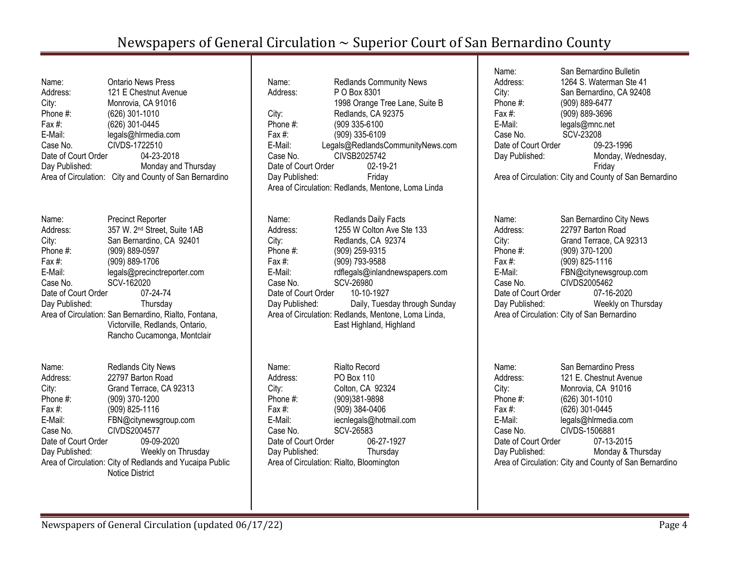| Name:               | <b>Ontario News Press</b>                              |
|---------------------|--------------------------------------------------------|
| Address:            | 121 E Chestnut Avenue                                  |
| City:               | Monrovia, CA 91016                                     |
| Phone #:            | (626) 301-1010                                         |
| Fax #:              | (626) 301-0445                                         |
| E-Mail:             | legals@hlrmedia.com                                    |
| Case No.            | CIVDS-1722510                                          |
| Date of Court Order | 04-23-2018                                             |
| Day Published:      | Monday and Thursday                                    |
|                     | Area of Circulation: City and County of San Bernardino |

| Name:               | <b>Precinct Reporter</b>                              |
|---------------------|-------------------------------------------------------|
| Address:            | 357 W. 2 <sup>nd</sup> Street, Suite 1AB              |
| City:               | San Bernardino, CA 92401                              |
| Phone #:            | (909) 889-0597                                        |
| Fax $#$ :           | (909) 889-1706                                        |
| E-Mail:             | legals@precinctreporter.com                           |
| Case No.            | SCV-162020                                            |
| Date of Court Order | 07-24-74                                              |
| Day Published:      | Thursday                                              |
|                     | Area of Circulation: San Bernardino, Rialto, Fontana, |
|                     | Victorville, Redlands, Ontario,                       |
|                     | Rancho Cucamonga, Montclair                           |

| Name:               | Redlands City News                                       |
|---------------------|----------------------------------------------------------|
| Address:            | 22797 Barton Road                                        |
| City:               | Grand Terrace, CA 92313                                  |
| Phone #:            | (909) 370-1200                                           |
| Fax #:              | (909) 825-1116                                           |
| E-Mail:             | FBN@citynewsgroup.com                                    |
| Case No.            | CIVDS2004577                                             |
| Date of Court Order | 09-09-2020                                               |
| Day Published:      | Weekly on Thrusday                                       |
|                     | Area of Circulation: City of Redlands and Yucaipa Public |
|                     | <b>Notice District</b>                                   |

| Name:               | <b>Redlands Community News</b>                     |
|---------------------|----------------------------------------------------|
| Address:            | P O Box 8301                                       |
|                     | 1998 Orange Tree Lane, Suite B                     |
| City:               | Redlands, CA 92375                                 |
| Phone #:            | (909 335-6100                                      |
| Fax #:              | (909) 335-6109                                     |
| E-Mail:             | Legals@RedlandsCommunityNews.com                   |
| Case No.            | CIVSB2025742                                       |
| Date of Court Order | 02-19-21                                           |
| Day Published:      | Friday                                             |
|                     | Area of Circulation: Redlands, Mentone, Loma Linda |
|                     |                                                    |
|                     |                                                    |
| Name:               | Redlands Daily Facts                               |
| Address:            | 1255 W Colton Ave Ste 133                          |
| $\sim$ $\sim$       | D.J. J. OA 00074                                   |

City: Redlands, CA 92374 Phone #: (909) 259-9315 Fax #: (909) 793-9588 E-Mail: [rdflegals@inlandnewspapers.com](mailto:rdflegals@inlandnewspapers.com) Case No. SCV-26980 Date of Court Order 10-10-1927 Day Published: Daily, Tuesday through Sunday Area of Circulation: Redlands, Mentone, Loma Linda, East Highland, Highland

| <b>Rialto Record</b>                     |
|------------------------------------------|
| PO Box 110                               |
| Colton, CA 92324                         |
| (909)381-9898                            |
| (909) 384-0406                           |
| iecnlegals@hotmail.com                   |
| SCV-26583                                |
| 06-27-1927<br>Date of Court Order        |
| Thursday                                 |
| Area of Circulation: Rialto, Bloomington |
|                                          |

Name: San Bernardino Bulletin Address: 1264 S. Waterman Ste 41 City: San Bernardino, CA 92408 Phone #: (909) 889-6477 Fax #: (909) 889-3696 E-Mail: legals@mnc.net Case No. SCV-23208 Date of Court Order 09-23-1996 Day Published: Monday, Wednesday, Friday Area of Circulation: City and County of San Bernardino Name: San Bernardino City News

Address: 22797 Barton Road City: Grand Terrace, CA 92313 Phone #: (909) 370-1200 Fax #: (909) 825-1116 E-Mail: FBN@citynewsgroup.com Case No. CIVDS2005462 Date of Court Order 07-16-2020 Day Published: Weekly on Thursday Area of Circulation: City of San Bernardino

| Name:               | San Bernardino Press                                   |
|---------------------|--------------------------------------------------------|
| Address:            | 121 E. Chestnut Avenue                                 |
| City:               | Monrovia, CA 91016                                     |
| Phone #:            | (626) 301-1010                                         |
| Fax #:              | (626) 301-0445                                         |
| E-Mail:             | legals@hlrmedia.com                                    |
| Case No.            | CIVDS-1506881                                          |
| Date of Court Order | 07-13-2015                                             |
| Day Published:      | Monday & Thursday                                      |
|                     | Area of Circulation: City and County of San Bernardino |